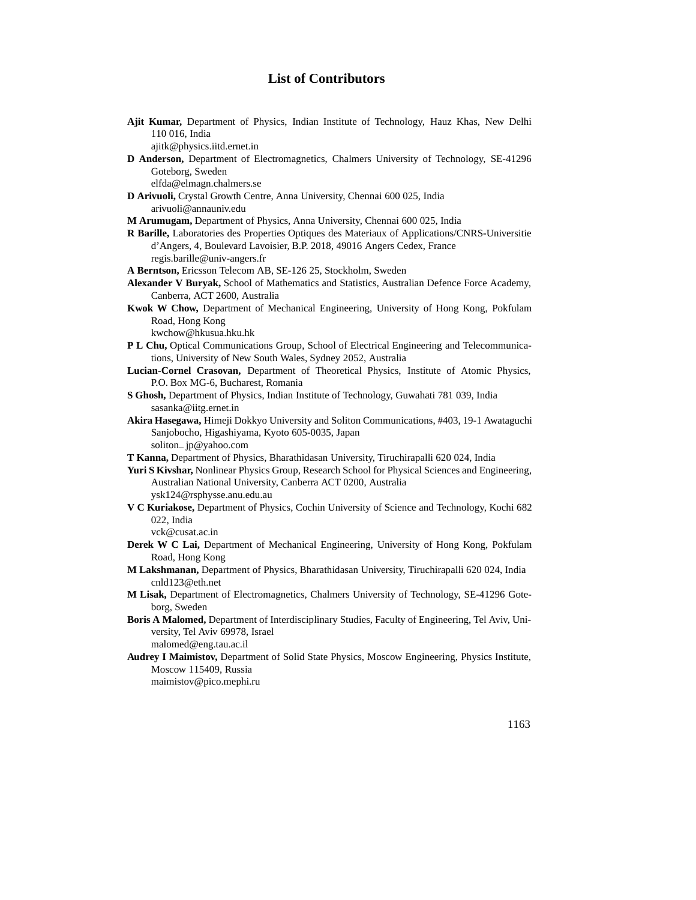## **List of Contributors**

| Ajit Kumar, Department of Physics, Indian Institute of Technology, Hauz Khas, New Delhi<br>110 016, India                                                                 |
|---------------------------------------------------------------------------------------------------------------------------------------------------------------------------|
| ajitk@physics.iitd.ernet.in                                                                                                                                               |
| D Anderson, Department of Electromagnetics, Chalmers University of Technology, SE-41296<br>Goteborg, Sweden<br>elfda@elmagn.chalmers.se                                   |
| D Arivuoli, Crystal Growth Centre, Anna University, Chennai 600 025, India                                                                                                |
| arivuoli@annauniv.edu                                                                                                                                                     |
| M Arumugam, Department of Physics, Anna University, Chennai 600 025, India                                                                                                |
| R Barille, Laboratories des Properties Optiques des Materiaux of Applications/CNRS-Universitie<br>d'Angers, 4, Boulevard Lavoisier, B.P. 2018, 49016 Angers Cedex, France |
| regis.barille@univ-angers.fr                                                                                                                                              |
| A Berntson, Ericsson Telecom AB, SE-126 25, Stockholm, Sweden                                                                                                             |
| Alexander V Buryak, School of Mathematics and Statistics, Australian Defence Force Academy,                                                                               |
| Canberra, ACT 2600, Australia                                                                                                                                             |
| Kwok W Chow, Department of Mechanical Engineering, University of Hong Kong, Pokfulam                                                                                      |
| Road, Hong Kong                                                                                                                                                           |
| kwchow@hkusua.hku.hk                                                                                                                                                      |
| P L Chu, Optical Communications Group, School of Electrical Engineering and Telecommunica-<br>tions, University of New South Wales, Sydney 2052, Australia                |
| Lucian-Cornel Crasovan, Department of Theoretical Physics, Institute of Atomic Physics,                                                                                   |
| P.O. Box MG-6, Bucharest, Romania                                                                                                                                         |
| S Ghosh, Department of Physics, Indian Institute of Technology, Guwahati 781 039, India                                                                                   |
| sasanka@iitg.ernet.in                                                                                                                                                     |
| Akira Hasegawa, Himeji Dokkyo University and Soliton Communications, #403, 19-1 Awataguchi                                                                                |
| Sanjobocho, Higashiyama, Kyoto 605-0035, Japan                                                                                                                            |
| soliton_jp@yahoo.com                                                                                                                                                      |
| T Kanna, Department of Physics, Bharathidasan University, Tiruchirapalli 620 024, India                                                                                   |
| Yuri S Kivshar, Nonlinear Physics Group, Research School for Physical Sciences and Engineering,<br>Australian National University, Canberra ACT 0200, Australia           |
| ysk124@rsphysse.anu.edu.au                                                                                                                                                |
| V C Kuriakose, Department of Physics, Cochin University of Science and Technology, Kochi 682<br>022, India                                                                |
| vck@cusat.ac.in                                                                                                                                                           |
| Derek W C Lai, Department of Mechanical Engineering, University of Hong Kong, Pokfulam                                                                                    |
| Road, Hong Kong                                                                                                                                                           |
| M Lakshmanan, Department of Physics, Bharathidasan University, Tiruchirapalli 620 024, India<br>cnld123@eth.net                                                           |
| M Lisak, Department of Electromagnetics, Chalmers University of Technology, SE-41296 Gote-                                                                                |
| borg, Sweden                                                                                                                                                              |
| Boris A Malomed, Department of Interdisciplinary Studies, Faculty of Engineering, Tel Aviv, Uni-                                                                          |
| versity, Tel Aviv 69978, Israel                                                                                                                                           |
| malomed@eng.tau.ac.il                                                                                                                                                     |
| Audrey I Maimistov, Department of Solid State Physics, Moscow Engineering, Physics Institute,                                                                             |
| Moscow 115409, Russia                                                                                                                                                     |
| maimistov@pico.mephi.ru                                                                                                                                                   |
|                                                                                                                                                                           |
|                                                                                                                                                                           |
| 1163                                                                                                                                                                      |
|                                                                                                                                                                           |
|                                                                                                                                                                           |